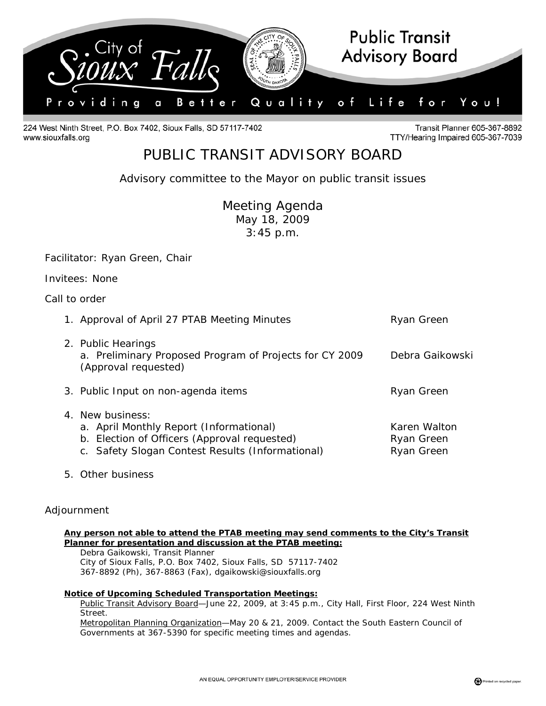

224 West Ninth Street, P.O. Box 7402, Sioux Falls, SD 57117-7402 www.siouxfalls.org

Transit Planner 605-367-8892 TTY/Hearing Impaired 605-367-7039

# PUBLIC TRANSIT ADVISORY BOARD

*Advisory committee to the Mayor on public transit issues* 

Meeting Agenda May 18, 2009 3:45 p.m.

Facilitator: Ryan Green, Chair

Invitees: None

## Call to order

| 1. Approval of April 27 PTAB Meeting Minutes                                                                                                                           | Ryan Green                               |
|------------------------------------------------------------------------------------------------------------------------------------------------------------------------|------------------------------------------|
| 2. Public Hearings<br>a. Preliminary Proposed Program of Projects for CY 2009<br>(Approval requested)                                                                  | Debra Gaikowski                          |
| 3. Public Input on non-agenda items                                                                                                                                    | Ryan Green                               |
| 4. New business:<br>a. April Monthly Report <i>(Informational)</i><br>b. Election of Officers (Approval requested)<br>c. Safety Slogan Contest Results (Informational) | Karen Walton<br>Ryan Green<br>Ryan Green |

5. Other business

# Adjournment

#### **Any person not able to attend the PTAB meeting may send comments to the City's Transit Planner for presentation and discussion at the PTAB meeting:**

 Debra Gaikowski, Transit Planner City of Sioux Falls, P.O. Box 7402, Sioux Falls, SD 57117-7402 367-8892 (Ph), 367-8863 (Fax), dgaikowski@siouxfalls.org

#### **Notice of Upcoming Scheduled Transportation Meetings:**

Public Transit Advisory Board—June 22, 2009, at 3:45 p.m., City Hall, First Floor, 224 West Ninth Street.

Metropolitan Planning Organization—May 20 & 21, 2009. Contact the South Eastern Council of Governments at 367-5390 for specific meeting times and agendas.